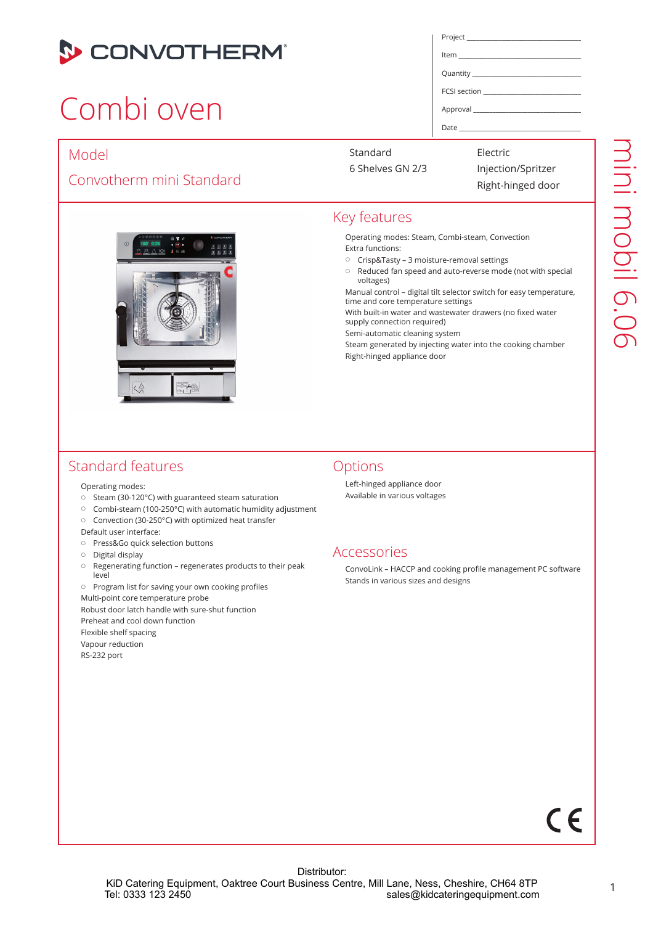

## Combi oven

#### Model

#### Convotherm mini Standard



| Project |  |
|---------|--|
|         |  |
|         |  |
|         |  |
|         |  |

Item

Quantity

FCSI section

Approval \_\_\_\_\_\_\_\_\_\_\_\_\_\_\_\_\_\_\_\_\_\_\_\_\_\_\_\_\_\_\_\_\_\_\_\_\_

Date \_\_\_\_\_\_\_\_\_\_\_\_\_\_\_\_\_\_\_\_\_\_\_\_\_\_\_\_\_\_\_\_\_\_\_\_\_\_\_\_

Standard

6 Shelves GN 2/3

Electric Injection/Spritzer Right-hinged door

#### Key features

Operating modes: Steam, Combi-steam, Convection Extra functions:

- Crisp&Tasty 3 moisture-removal settings
- Reduced fan speed and auto-reverse mode (not with special voltages)

Manual control – digital tilt selector switch for easy temperature, time and core temperature settings

With built-in water and wastewater drawers (no fixed water supply connection required)

Semi-automatic cleaning system

Steam generated by injecting water into the cooking chamber Right-hinged appliance door

#### Standard features

Operating modes:

- $\circ$  Steam (30-120°C) with guaranteed steam saturation
- Combi-steam (100-250°C) with automatic humidity adjustment
- Convection (30-250°C) with optimized heat transfer

Default user interface:

- o Press&Go quick selection buttons
- $\circ$  Digital display
- Regenerating function regenerates products to their peak level

 $\circ$  Program list for saving your own cooking profiles Multi-point core temperature probe Robust door latch handle with sure-shut function Preheat and cool down function Flexible shelf spacing Vapour reduction RS-232 port

#### **Options**

Left-hinged appliance door Available in various voltages

#### Accessories

ConvoLink – HACCP and cooking profile management PC software Stands in various sizes and designs

# $\epsilon$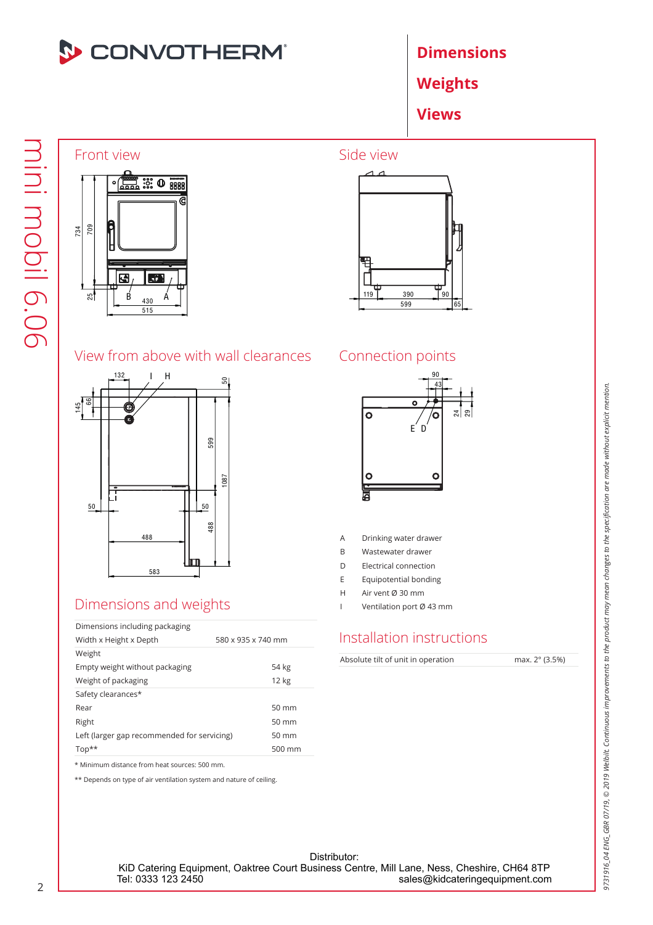

**Dimensions** 

Weights

Views

## Front view  $\frac{1}{2000}$   $\frac{1}{2000}$   $\frac{1}{2000}$



# 390 599

Side view

#### View from above with wall clearances



#### Dimensions and weights

| Dimensions including packaging              |                    |
|---------------------------------------------|--------------------|
| Width x Height x Depth                      | 580 x 935 x 740 mm |
| Weight                                      |                    |
| Empty weight without packaging              | 54 kg              |
| Weight of packaging                         | 12 kg              |
| Safety clearances*                          |                    |
| Rear                                        | $50 \text{ mm}$    |
| Right                                       | $50 \text{ mm}$    |
| Left (larger gap recommended for servicing) | $50 \text{ mm}$    |
| $Top**$                                     | 500 mm             |
|                                             |                    |

\* Minimum distance from heat sources: 500 mm.

\*\* Depends on type of air ventilation system and nature of ceiling.

#### Connection points



- A Drinking water drawer
- B Wastewater drawer
- D Electrical connection
- E Equipotential bonding
- H Air vent Ø 30 mm
- I Ventilation port Ø 43 mm

#### Installation instructions

Absolute tilt of unit in operation max. 2° (3.5%)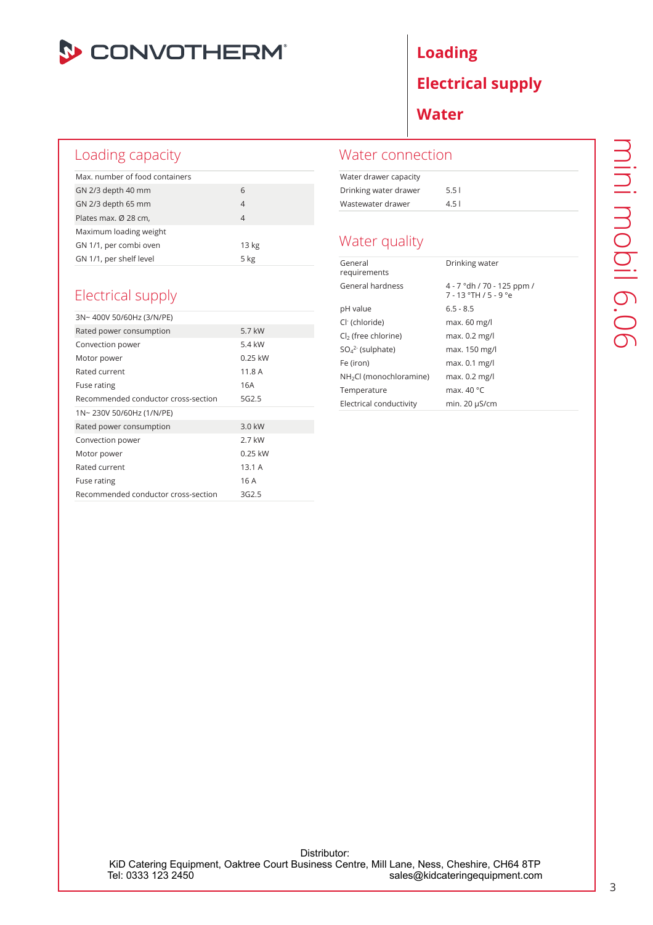

#### Loading capacity

| Max, number of food containers |                  |  |
|--------------------------------|------------------|--|
| GN 2/3 depth 40 mm             | 6                |  |
| GN 2/3 depth 65 mm             | 4                |  |
| Plates max. Ø 28 cm,           | $\overline{4}$   |  |
| Maximum loading weight         |                  |  |
| GN 1/1, per combi oven         | 13 <sub>kg</sub> |  |
| GN 1/1, per shelf level        | $5$ kg           |  |

#### Electrical supply

| 3N~400V 50/60Hz (3/N/PE)            |                   |  |
|-------------------------------------|-------------------|--|
| Rated power consumption             | 5.7 kW            |  |
| Convection power                    | 5.4 kW            |  |
| Motor power                         | $0.25$ kW         |  |
| Rated current                       | 11.8 A            |  |
| Fuse rating                         | 16A               |  |
| Recommended conductor cross-section | 5G <sub>2.5</sub> |  |
| 1N~230V 50/60Hz (1/N/PE)            |                   |  |
|                                     |                   |  |
| Rated power consumption             | 3.0 kW            |  |
| Convection power                    | 2.7 kW            |  |
| Motor power                         | $0.25$ kW         |  |
| Rated current                       | 13.1A             |  |
| Fuse rating                         | 16 A              |  |

### Loading Electrical supply Water

#### Water connection

| Water drawer capacity |          |
|-----------------------|----------|
| Drinking water drawer | 5.51     |
| Wastewater drawer     | $4.5 \;$ |

#### Water quality

| General<br>requirements             | Drinking water                                         |
|-------------------------------------|--------------------------------------------------------|
| General hardness                    | 4 - 7 °dh / 70 - 125 ppm /<br>$7 - 13$ °TH $/5 - 9$ °e |
| pH value                            | $6.5 - 8.5$                                            |
| Cl <sup>-</sup> (chloride)          | max. 60 mg/l                                           |
| $Cl2$ (free chlorine)               | max. 0.2 mg/l                                          |
| $SO_4^2$ (sulphate)                 | max. 150 mg/l                                          |
| Fe (iron)                           | max. 0.1 mg/l                                          |
| NH <sub>2</sub> Cl (monochloramine) | max. 0.2 mg/l                                          |
| Temperature                         | max. 40 °C                                             |
| Electrical conductivity             | min. 20 µS/cm                                          |

Distributor: KiD Catering Equipment, Oaktree Court Business Centre, Mill Lane, Ness, Cheshire, CH64 8TP<br>sales@kidcateringequipment.com sales@kidcateringequipment.com